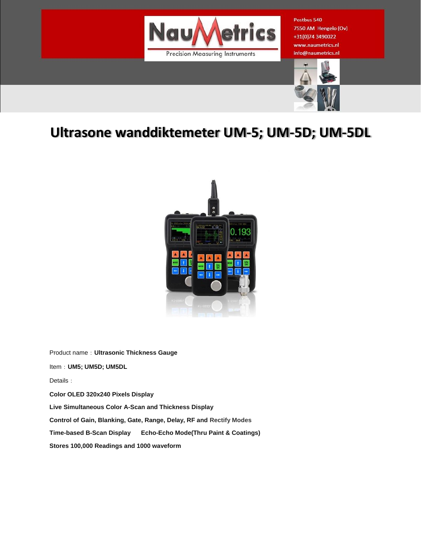

Postbus 540 7550 AM Hengelo (Ov) +31(0)74 3490022 www.naumetrics.nl info@naumetrics.nl



## **Ultrasone wanddiktemeter UM-5; UM-5D; UM-5DL**



Product name:**Ultrasonic Thickness Gauge**

Item:**UM5; UM5D; UM5DL**

Details:

**Color OLED 320x240 Pixels Display**

**Live Simultaneous Color A-Scan and Thickness Display**

**Control of Gain, Blanking, Gate, Range, Delay, RF and Rectify Modes**

**Time-based B-Scan Display Echo-Echo Mode(Thru Paint & Coatings)**

**Stores 100,000 Readings and 1000 waveform**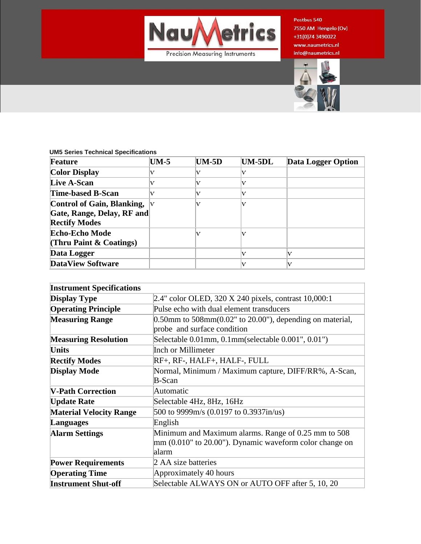

Postbus 540 7550 AM Hengelo (Ov) +31(0)74 3490022 www.naumetrics.nl info@naumetrics.nl



## **UM5 Series Technical Specifications**

| Feature                           | <b>UM-5</b> | <b>UM-5D</b> | UM-5DL | Data Logger Option |
|-----------------------------------|-------------|--------------|--------|--------------------|
| <b>Color Display</b>              |             |              |        |                    |
| <b>Live A-Scan</b>                |             |              |        |                    |
| Time-based B-Scan                 | V           |              |        |                    |
| <b>Control of Gain, Blanking,</b> |             |              |        |                    |
| Gate, Range, Delay, RF and        |             |              |        |                    |
| <b>Rectify Modes</b>              |             |              |        |                    |
| <b>Echo-Echo Mode</b>             |             |              |        |                    |
| (Thru Paint $\&$ Coatings)        |             |              |        |                    |
| Data Logger                       |             |              |        |                    |
| <b>DataView Software</b>          |             |              |        |                    |

| <b>Instrument Specifications</b> |                                                                      |  |  |
|----------------------------------|----------------------------------------------------------------------|--|--|
| <b>Display Type</b>              | 2.4" color OLED, 320 X 240 pixels, contrast 10,000:1                 |  |  |
| <b>Operating Principle</b>       | Pulse echo with dual element transducers                             |  |  |
| <b>Measuring Range</b>           | $0.50$ mm to $508$ mm $(0.02"$ to $20.00"$ ), depending on material, |  |  |
|                                  | probe and surface condition                                          |  |  |
| <b>Measuring Resolution</b>      | Selectable 0.01mm, 0.1mm(selectable 0.001", 0.01")                   |  |  |
| <b>Units</b>                     | <b>Inch or Millimeter</b>                                            |  |  |
| <b>Rectify Modes</b>             | RF+, RF-, HALF+, HALF-, FULL                                         |  |  |
| <b>Display Mode</b>              | Normal, Minimum / Maximum capture, DIFF/RR%, A-Scan,                 |  |  |
|                                  | <b>B-Scan</b>                                                        |  |  |
| <b>V-Path Correction</b>         | Automatic                                                            |  |  |
| <b>Update Rate</b>               | Selectable 4Hz, 8Hz, 16Hz                                            |  |  |
| <b>Material Velocity Range</b>   | 500 to 9999m/s (0.0197 to 0.3937in/us)                               |  |  |
| <b>Languages</b>                 | English                                                              |  |  |
| <b>Alarm Settings</b>            | Minimum and Maximum alarms. Range of 0.25 mm to 508                  |  |  |
|                                  | mm (0.010" to 20.00"). Dynamic waveform color change on              |  |  |
|                                  | alarm                                                                |  |  |
| <b>Power Requirements</b>        | 2 AA size batteries                                                  |  |  |
| <b>Operating Time</b>            | Approximately 40 hours                                               |  |  |
| <b>Instrument Shut-off</b>       | Selectable ALWAYS ON or AUTO OFF after 5, 10, 20                     |  |  |